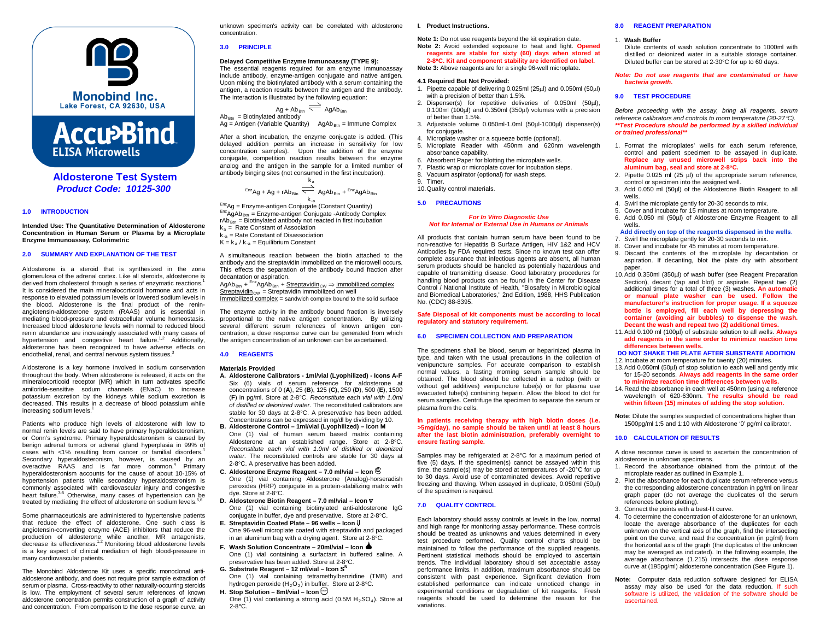

# **Accu<sup>></sup>Bind ELISA Microwells**

# **Aldosterone Test System** *Product Code: 10125-300*

# **1.0 INTRODUCTION**

**Intended Use: The Quantitative Determination of Aldosterone Concentration in Human Serum or Plasma by a Microplate Enzyme Immunoassay, Colorimetric**

# **2.0 SUMMARY AND EXPLANATION OF THE TEST**

Aldosterone is a steroid that is synthesized in the zona glomerulosa of the adrenal cortex. Like all steroids, aldosterone is derived from cholesterol through a series of enzymatic reactions.<sup>1</sup> It is considered the main mineralocorticoid hormone and acts in response to elevated potassium levels or lowered sodium levels in the blood. Aldosterone is the final product of the reninangiotensin-aldosterone system (RAAS) and is essential in mediating blood-pressure and extracellular volume homeostasis. Increased blood aldosterone levels with normal to reduced blood renin abundance are increasingly associated with many cases of hypertension and congestive heart failure.<sup>1,2</sup> Additionally, aldosterone has been recognized to have adverse effects on endothelial, renal, and central nervous system tissues.<sup>3</sup>

Aldosterone is a key hormone involved in sodium conservation throughout the body. When aldosterone is released, it acts on the mineralocorticoid receptor (MR) which in turn activates specific amiloride-sensitive sodum channels (ENaC) to increase potassium excretion by the kidneys while sodium excretion is decreased. This results in a decrease of blood potassium while increasing sodium levels.<sup>1</sup>

Patients who produce high levels of aldosterone with low to normal renin levels are said to have primary hyperaldosteronism, or Conn's syndrome. Primary hyperaldosteronism is caused by benign adrenal tumors or adrenal gland hyperplasia in 99% of cases with <1% resulting from cancer or familial disorders.<sup>4</sup> Secondary hyperaldosteronism, however, is caused by an overactive RAAS and is far more common. <sup>4</sup> Primary hyperaldosteronism accounts for the cause of about 10-15% of hypertension patients while secondary hyperaldosteronism is commonly associated with cardiovascular injury and congestive heart failure.<sup>3-5</sup> Otherwise, many cases of hypertension can be treated by mediating the effect of aldosterone on sodium levels.<sup>5</sup>

Some pharmaceuticals are administered to hypertensive patients that reduce the effect of aldosterone. One such class is angiotensin-converting enzyme (ACE) inhibitors that reduce the production of aldosterone while another, MR antagonists, decrease its effectiveness.<sup>1,2</sup> Monitoring blood aldosterone levels is a key aspect of clinical mediation of high blood-pressure in many cardiovascular patients.

The Monobind Aldosterone Kit uses a specific monoclonal antialdosterone antibody, and does not require prior sample extraction of serum or plasma. Cross-reactivity to other naturally-occurring steroids is low. The employment of several serum references of known aldosterone concentration permits construction of a graph of activity and concentration. From comparison to the dose response curve, an

unknown specimen's activity can be correlated with aldosterone concentration.

## **3.0 PRINCIPLE**

# **Delayed Competitive Enzyme Immunoassay (TYPE 9):**

The essential reagents required for am enzyme immunoassay include antibody, enzyme-antigen conjugate and native antigen. Upon mixing the biotinylated antibody with a serum containing the antigen, a reaction results between the antigen and the antibody. The interaction is illustrated by the following equation:

$$
Ag + Ab_{Btn} \xrightarrow{\longrightarrow} AgAb_{Btn}
$$
  
 *Biotinylated antibody*

Ab<sub>Btn</sub> = Biotinylated antibody<br>Ag = Antigen (Variable Quantity) AgAb<sub>Btn</sub> = Immune Complex

After a short incubation, the enzyme conjugate is added. (This delayed addition permits an increase in sensitivity for low concentration samples). Upon the addition of the enzyme conjugate, competition reaction results between the enzyme analog and the antigen in the sample for a limited number of antibody binging sites (not consumed in the first incubation).

$$
^{Enz}Ag + Ag + rAb_{Btn} \xrightarrow{k_a} AgAb_{Btn} + {}^{Enz}AgAb_{Btn}
$$

 $k_{-a}$ <br>Enz<sub>Ag</sub> = Enzyme-antigen Conjugate (Constant Quantity)<br>Enz<sub>AgAb<sub>Btn</sub> = Enzyme-antigen Conjugate -Antibody Complex</sub>  $rAb_{Btn}$  = Biotinylated antibody not reacted in first incubation

- $k_a$  = Rate Constant of Association  $k_{-a}$  = Rate Constant of Disassociation
- $K = k_a / k_{-a} =$  Equilibrium Constant
- A simultaneous reaction between the biotin attached to the antibody and the streptavidin immobilized on the microwell occurs. This effects the separation of the antibody bound fraction after decantation or aspiration.

 $\mathsf{AgAb}_\mathsf{Btn} + {}^\mathsf{Enz}\mathsf{AgAb}_\mathsf{Btn} + \underline{\mathsf{Streptavidin}}_\mathsf{CW} \Rightarrow \underline{\mathsf{immobileized \textbf{complex}}}$  $Streptavidin<sub>CW</sub> = Streptavidin immobilized on well$ 

Immobilized complex = sandwich complex bound to the solid surface

The enzyme activity in the antibody bound fraction is inversely proportional to the native antigen concentration. By utilizing several different serum references of known antigen concentration, a dose response curve can be generated from which the antigen concentration of an unknown can be ascertained.

#### **4.0 REAGENTS**

#### **Materials Provided**

- **A. Aldosterone Calibrators - 1ml/vial (Lyophilized) - Icons A-F** Six (6) vials of serum reference for aldosterone at concentrations of 0 (**A**), 25 (**B**), 125 (**C),** 250 (**D**), 500 (**E**), 1500 (**F**) in pg/ml. Store at 2-8°C. *Reconstitute each vial with 1.0ml of distilled or deionized water.* The reconstituted calibrators are stable for 30 days at 2-8°C. A preservative has been added. Concentrations can be expressed in ng/dl by dividing by 10.
- **B. Aldosterone Control – 1ml/vial (Lyophilized) – Icon M** One (1) vial of human serum based matrix containing Aldosterone at an established range. Store at 2-8°C. *Reconstitute each vial with 1.0ml of distilled or deionized water.* The reconstituted controls are stable for 30 days at 2-8°C. A preservative has been added.
- **C. Aldosterone Enzyme Reagent – 7.0 ml/vial – Icon <sup>E</sup>** One (1) vial containing Aldosterone (Analog)-horseradish peroxides (HRP) conjugate in a protein-stabilizing matrix with dye. Store at 2-8°C.
- **D. Aldosterone Biotin Reagent – 7.0 ml/vial – Icon** ∇ One (1) vial containing biotinylated anti-aldosterone IgG conjugate in buffer, dye and preservative. Store at 2-8°C.
- **E. Streptavidin Coated Plate – 96 wells – Icon** ⇓ One 96-well microplate coated with streptavidin and packaged in an aluminum bag with a drying agent. Store at 2-8°C.
- **F. Wash Solution Concentrate – 20ml/vial – Icon** One (1) vial containing a surfactant in buffered saline. A preservative has been added. Store at 2-8°C.
- **G. Substrate Reagent – 12 ml/vial – Icon SN**
- One (1) vial containing tetramethylbenzidine (TMB) and hydrogen peroxide  $(H_2O_2)$  in buffer. Store at 2-8°C.
- **H.** Stop Solution  $8$ ml/vial  $1$ con $\overset{(m)}{2}$
- One (1) vial containing a strong acid (0.5M  $H_2SO_4$ ). Store at 2-8**°**C.

# **I. Product Instructions.**

**Note 1:** Do not use reagents beyond the kit expiration date. **Note 2:** Avoid extended exposure to heat and light. **Opened reagents are stable for sixty (60) days when stored at** 

**2-8**°**C. Kit and component stability are identified on label. Note 3:** Above reagents are for a single 96-well microplate**.**

## **4.1 Required But Not Provided:**

- 1. Pipette capable of delivering 0.025ml (25µl) and 0.050ml (50µl) with a precision of better than 1.5%.
- 2. Dispenser(s) for repetitive deliveries of 0.050ml (50µl), 0.100ml (100µl) and 0.350ml (350µl) volumes with a precision of better than 1.5%.
- 3. Adjustable volume 0.050ml-1.0ml (50µl-1000µl) dispenser(s) for conjugate.
- 4. Microplate washer or a squeeze bottle (optional).
- 5. Microplate Reader with 450nm and 620nm wavelength absorbance capability.
- 6. Absorbent Paper for blotting the microplate wells.
- 7. Plastic wrap or microplate cover for incubation steps.
- 8. Vacuum aspirator (optional) for wash steps. 9. Timer.
- 10.Quality control materials.

#### **5.0 PRECAUTIONS**

#### *For In Vitro Diagnostic Use Not for Internal or External Use in Humans or Animals*

All products that contain human serum have been found to be non-reactive for Hepatitis B Surface Antigen, HIV 1&2 and HCV Antibodies by FDA required tests. Since no known test can offer complete assurance that infectious agents are absent, all human serum products should be handled as potentially hazardous and capable of transmitting disease. Good laboratory procedures for handling blood products can be found in the Center for Disease Control / National Institute of Health, "Biosafety in Microbiological and Biomedical Laboratories," 2nd Edition, 1988, HHS Publication No. (CDC) 88-8395.

#### **Safe Disposal of kit components must be according to local regulatory and statutory requirement.**

# **6.0 SPECIMEN COLLECTION AND PREPARATION**

The specimens shall be blood, serum or heparinized plasma in type, and taken with the usual precautions in the collection of venipuncture samples. For accurate comparison to establish normal values, a fasting morning serum sample should be obtained. The blood should be collected in a redtop (with or without gel additives) venipuncture tube(s) or for plasma use evacuated tube(s) containing heparin. Allow the blood to clot for serum samples. Centrifuge the specimen to separate the serum or plasma from the cells.

#### **In patients receiving therapy with high biotin doses (i.e. >5mg/day), no sample should be taken until at least 8 hours after the last biotin administration, preferably overnight to ensure fasting sample.**

Samples may be refrigerated at 2-8°C for a maximum period of five (5) days. If the specimen(s) cannot be assayed within this time, the sample(s) may be stored at temperatures of -20°C for up to 30 days. Avoid use of contaminated devices. Avoid repetitive freezing and thawing. When assayed in duplicate, 0.050ml (50µl) of the specimen is required.

# **7.0 QUALITY CONTROL**

Each laboratory should assay controls at levels in the low, normal and high range for monitoring assay performance. These controls should be treated as unknowns and values determined in every test procedure performed. Quality control charts should be maintained to follow the performance of the supplied reagents. Pertinent statistical methods should be employed to ascertain trends. The individual laboratory should set acceptable assay performance limits. In addition, maximum absorbance should be consistent with past experience. Significant deviation from established performance can indicate unnoticed change in experimental conditions or degradation of kit reagents. Fresh reagents should be used to determine the reason for the variations.

## **8.0 REAGENT PREPARATION**

- 1. **Wash Buffer**
- Dilute contents of wash solution concentrate to 1000ml with distilled or deionized water in a suitable storage container. Diluted buffer can be stored at 2-30°C for up to 60 days.

*Note: Do not use reagents that are contaminated or have bacteria growth.*

## **9.0 TEST PROCEDURE**

*Before proceeding with the assay, bring all reagents, serum reference calibrators and controls to room temperature (20-27*°*C). \*\*Test Procedure should be performed by a skilled individual or trained professional\*\**

- 1. Format the microplates' wells for each serum reference, control and patient specimen to be assayed in duplicate. **Replace any unused microwell strips back into the aluminum bag, seal and store at 2-8**°**C.**
- 2. Pipette 0.025 ml (25 µl) of the appropriate serum reference, control or specimen into the assigned well.
- 3. Add 0.050 ml (50µl) of the Aldosterone Biotin Reagent to all wells.
- 4. Swirl the microplate gently for 20-30 seconds to mix.
- 5. Cover and incubate for 15 minutes at room temperature. 6. Add 0.050 ml (50µl) of Aldosterone Enzyme Reagent to all wells.

# **Add directly on top of the reagents dispensed in the wells**.

- 7. Swirl the microplate gently for 20-30 seconds to mix.
- 8. Cover and incubate for 45 minutes at room temperature.
- 9. Discard the contents of the microplate by decantation or aspiration. If decanting, blot the plate dry with absorbent paper.
- 10.Add 0.350ml (350µl) of wash buffer (see Reagent Preparation Section), decant (tap and blot) or aspirate. Repeat two (2) additional times for a total of three (3) washes. **An automatic or manual plate washer can be used. Follow the manufacturer's instruction for proper usage. If a squeeze bottle is employed, fill each well by depressing the container (avoiding air bubbles) to dispense the wash. Decant the wash and repeat two (2) additional times.**
- 11.Add 0.100 ml (100µl) of substrate solution to all wells. **Always add reagents in the same order to minimize reaction time differences between wells.**
- **DO NOT SHAKE THE PLATE AFTER SUBSTRATE ADDITION** 12.Incubate at room temperature for twenty (20) minutes.
- 13.Add 0.050ml (50µl) of stop solution to each well and gently mix for 15-20 seconds. **Always add reagents in the same order to minimize reaction time differences between wells.**
- 14.Read the absorbance in each well at 450nm (using a reference wavelength of 620-630nm. **The results should be read within fifteen (15) minutes of adding the stop solution.**

**Note**: Dilute the samples suspected of concentrations higher than 1500pg/ml 1:5 and 1:10 with Aldosterone '0' pg/ml calibrator.

# **10.0 CALCULATION OF RESULTS**

A dose response curve is used to ascertain the concentration of aldosterone in unknown specimens.

- 1. Record the absorbance obtained from the printout of the microplate reader as outlined in Example 1.
- 2. Plot the absorbance for each duplicate serum reference versus the corresponding aldosterone concentration in pg/ml on linear graph paper (do not average the duplicates of the serum references before plotting).
- 3. Connect the points with a best-fit curve.
- 4. To determine the concentration of aldosterone for an unknown, locate the average absorbance of the duplicates for each unknown on the vertical axis of the graph, find the intersecting point on the curve, and read the concentration (in pg/ml) from the horizontal axis of the graph (the duplicates of the unknown may be averaged as indicated). In the following example, the average absorbance (1.215) intersects the dose response curve at (195pg/ml) aldosterone concentration (See Figure 1).

**Note:** Computer data reduction software designed for ELISA assay may also be used for the data reduction. If such software is utilized, the validation of the software should be ascertained.